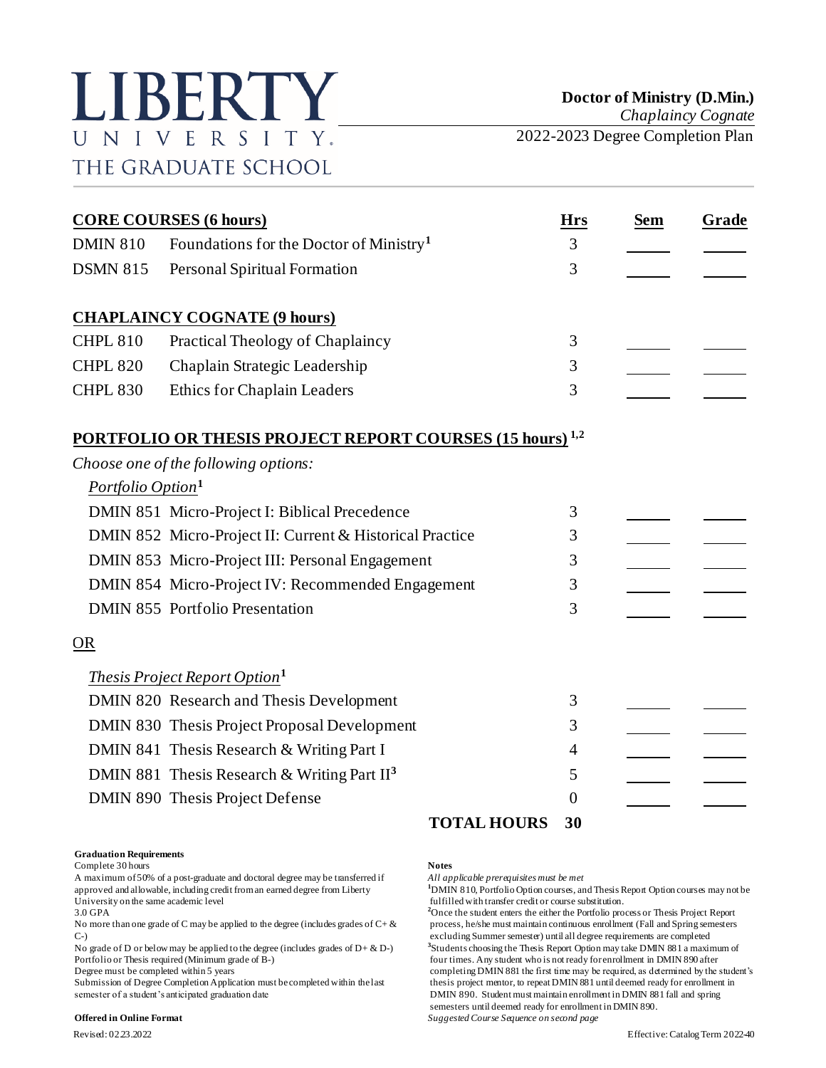# LIBERTY UNIVERSITY. THE GRADUATE SCHOOL

*Chaplaincy Cognate*

2022-2023 Degree Completion Plan

| <b>CORE COURSES (6 hours)</b> |                                                                             |                | <b>Sem</b> | Grade |
|-------------------------------|-----------------------------------------------------------------------------|----------------|------------|-------|
| <b>DMIN 810</b>               | Foundations for the Doctor of Ministry <sup>1</sup>                         | 3              |            |       |
| <b>DSMN 815</b>               | Personal Spiritual Formation                                                | 3              |            |       |
|                               | <b>CHAPLAINCY COGNATE (9 hours)</b>                                         |                |            |       |
| <b>CHPL 810</b>               | Practical Theology of Chaplaincy                                            | 3              |            |       |
| <b>CHPL 820</b>               | Chaplain Strategic Leadership                                               | 3              |            |       |
| <b>CHPL 830</b>               | <b>Ethics for Chaplain Leaders</b>                                          | 3              |            |       |
|                               | <b>PORTFOLIO OR THESIS PROJECT REPORT COURSES (15 hours)</b> <sup>1,2</sup> |                |            |       |
|                               | Choose one of the following options:                                        |                |            |       |
| Portfolio Option <sup>1</sup> |                                                                             |                |            |       |
|                               | DMIN 851 Micro-Project I: Biblical Precedence                               | 3              |            |       |
|                               | DMIN 852 Micro-Project II: Current & Historical Practice                    | 3              |            |       |
|                               | DMIN 853 Micro-Project III: Personal Engagement                             | 3              |            |       |
|                               | DMIN 854 Micro-Project IV: Recommended Engagement                           | 3              |            |       |
|                               | <b>DMIN 855 Portfolio Presentation</b>                                      | 3              |            |       |
| OR                            |                                                                             |                |            |       |
|                               | <i>Thesis Project Report Option</i> <sup>1</sup>                            |                |            |       |
|                               | DMIN 820 Research and Thesis Development                                    | 3              |            |       |
|                               | DMIN 830 Thesis Project Proposal Development                                | 3              |            |       |
|                               | DMIN 841 Thesis Research & Writing Part I                                   | 4              |            |       |
|                               | DMIN 881 Thesis Research & Writing Part $II3$                               | 5              |            |       |
|                               | DMIN 890 Thesis Project Defense                                             | $\overline{0}$ |            |       |
|                               | <b>TOTAL HOURS</b>                                                          | 30             |            |       |

### **Graduation Requirements**

Complete 30 hours **Notes**

A maximum of 50% of a post-graduate and doctoral degree may be transferred if *All applicable prerequisites must be met* approved and allowable, including credit from an earned degree from Liberty **1**DMIN 810, Portfolio Option courses, and Thesis Report Option courses may not be fulfilled with transfer credit or course substitution. University on the same academic level<br>
3.0 GPA<br>
<sup>2</sup>Once the student enters the either the Portfolio pro-

C-) excluding Summer semester) until all degree requirements are completed

No grade of D or below may be applied to the degree (includes grades of  $D + \& D$ -)

semester of a student's anticipated graduation date DMIN 890. Student must maintain enrollment in DMIN 881 fall and spring

### **Offered in Online Format** *Suggested Course Sequence on second page*

<sup>2</sup>Once the student enters the either the Portfolio process or Thesis Project Report No more than one grade of C may be applied to the degree (includes grades of  $C + \&$  process, he/she must maintain continuous enrollment (Fall and Spring semesters **3** Students choosing the Thesis Report Option may take DMIN 881 a maximum of Portfolio or Thesis required (Minimum grade of B-) four times. Any student who is not ready for enrollment in DMIN 890 after<br>Degree must be completed within 5 years for enrollment in DMIN 881 the first time may be required completing DMIN 881 the first time may be required, as determined by the student's Submission of Degree Completion Application must be completed within the last thesis project mentor, to repeat DMIN 881 until deemed ready for enrollment in semesters until deemed ready for enrollment in DMIN 890.